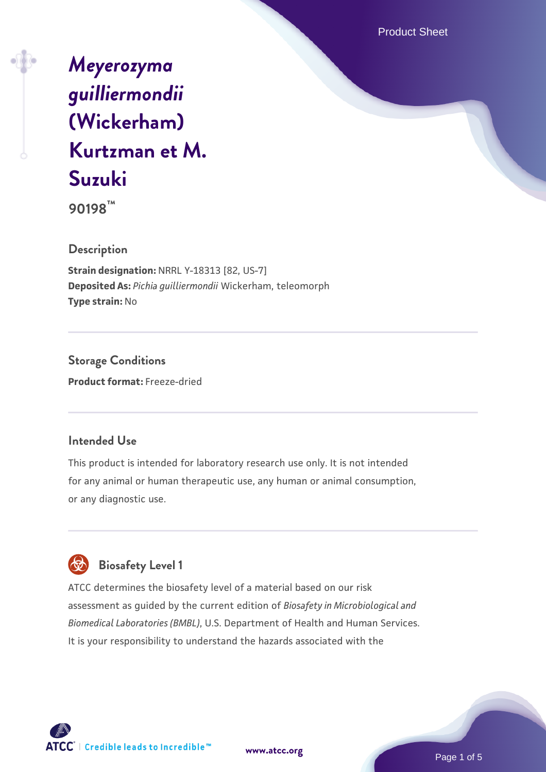Product Sheet

# *[Meyerozyma](https://www.atcc.org/products/90198) [guilliermondii](https://www.atcc.org/products/90198)* **[\(Wickerham\)](https://www.atcc.org/products/90198) [Kurtzman et M.](https://www.atcc.org/products/90198) [Suzuki](https://www.atcc.org/products/90198)**

**90198™**

## **Description**

**Strain designation:** NRRL Y-18313 [82, US-7] **Deposited As:** *Pichia guilliermondii* Wickerham, teleomorph **Type strain:** No

**Storage Conditions Product format:** Freeze-dried

## **Intended Use**

This product is intended for laboratory research use only. It is not intended for any animal or human therapeutic use, any human or animal consumption, or any diagnostic use.



ATCC determines the biosafety level of a material based on our risk assessment as guided by the current edition of *Biosafety in Microbiological and Biomedical Laboratories (BMBL)*, U.S. Department of Health and Human Services. It is your responsibility to understand the hazards associated with the



**[www.atcc.org](http://www.atcc.org)**

Page 1 of 5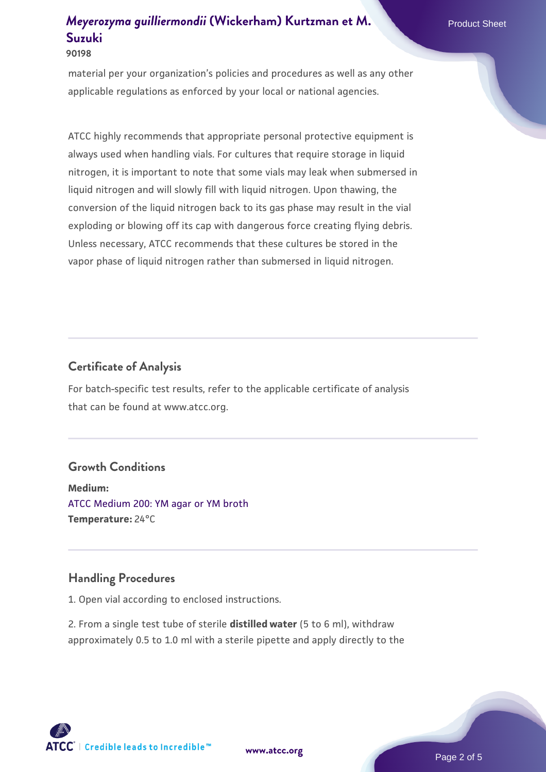#### **90198**

material per your organization's policies and procedures as well as any other applicable regulations as enforced by your local or national agencies.

ATCC highly recommends that appropriate personal protective equipment is always used when handling vials. For cultures that require storage in liquid nitrogen, it is important to note that some vials may leak when submersed in liquid nitrogen and will slowly fill with liquid nitrogen. Upon thawing, the conversion of the liquid nitrogen back to its gas phase may result in the vial exploding or blowing off its cap with dangerous force creating flying debris. Unless necessary, ATCC recommends that these cultures be stored in the vapor phase of liquid nitrogen rather than submersed in liquid nitrogen.

## **Certificate of Analysis**

For batch-specific test results, refer to the applicable certificate of analysis that can be found at www.atcc.org.

#### **Growth Conditions**

**Medium:**  [ATCC Medium 200: YM agar or YM broth](https://www.atcc.org/-/media/product-assets/documents/microbial-media-formulations/2/0/0/atcc-medium-200.pdf?rev=ac40fd74dc13433a809367b0b9da30fc) **Temperature:** 24°C

#### **Handling Procedures**

1. Open vial according to enclosed instructions.

2. From a single test tube of sterile **distilled water** (5 to 6 ml), withdraw approximately 0.5 to 1.0 ml with a sterile pipette and apply directly to the

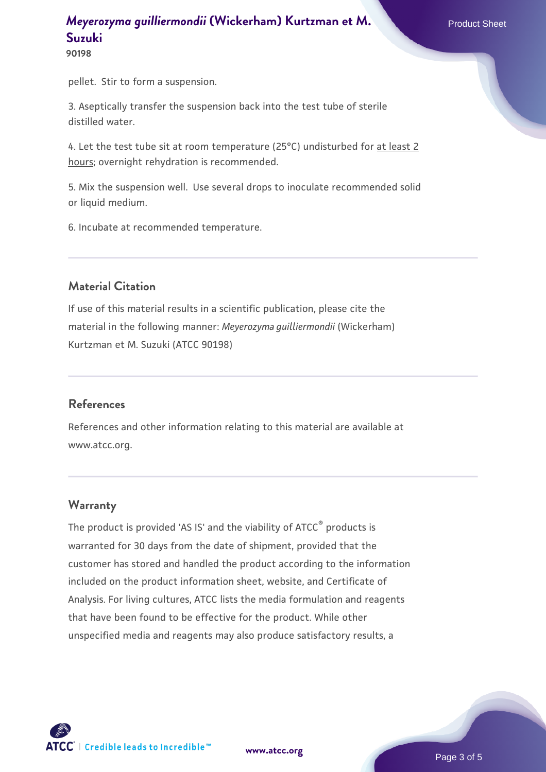**90198**

pellet. Stir to form a suspension.

3. Aseptically transfer the suspension back into the test tube of sterile distilled water.

4. Let the test tube sit at room temperature (25°C) undisturbed for at least 2 hours; overnight rehydration is recommended.

5. Mix the suspension well. Use several drops to inoculate recommended solid or liquid medium.

6. Incubate at recommended temperature.

#### **Material Citation**

If use of this material results in a scientific publication, please cite the material in the following manner: *Meyerozyma guilliermondii* (Wickerham) Kurtzman et M. Suzuki (ATCC 90198)

#### **References**

References and other information relating to this material are available at www.atcc.org.

## **Warranty**

The product is provided 'AS IS' and the viability of ATCC® products is warranted for 30 days from the date of shipment, provided that the customer has stored and handled the product according to the information included on the product information sheet, website, and Certificate of Analysis. For living cultures, ATCC lists the media formulation and reagents that have been found to be effective for the product. While other unspecified media and reagents may also produce satisfactory results, a

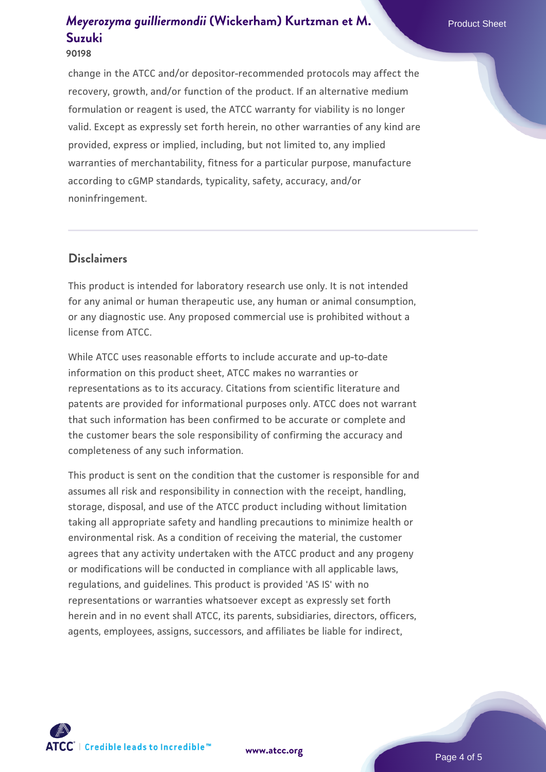#### **90198**

change in the ATCC and/or depositor-recommended protocols may affect the recovery, growth, and/or function of the product. If an alternative medium formulation or reagent is used, the ATCC warranty for viability is no longer valid. Except as expressly set forth herein, no other warranties of any kind are provided, express or implied, including, but not limited to, any implied warranties of merchantability, fitness for a particular purpose, manufacture according to cGMP standards, typicality, safety, accuracy, and/or noninfringement.

### **Disclaimers**

This product is intended for laboratory research use only. It is not intended for any animal or human therapeutic use, any human or animal consumption, or any diagnostic use. Any proposed commercial use is prohibited without a license from ATCC.

While ATCC uses reasonable efforts to include accurate and up-to-date information on this product sheet, ATCC makes no warranties or representations as to its accuracy. Citations from scientific literature and patents are provided for informational purposes only. ATCC does not warrant that such information has been confirmed to be accurate or complete and the customer bears the sole responsibility of confirming the accuracy and completeness of any such information.

This product is sent on the condition that the customer is responsible for and assumes all risk and responsibility in connection with the receipt, handling, storage, disposal, and use of the ATCC product including without limitation taking all appropriate safety and handling precautions to minimize health or environmental risk. As a condition of receiving the material, the customer agrees that any activity undertaken with the ATCC product and any progeny or modifications will be conducted in compliance with all applicable laws, regulations, and guidelines. This product is provided 'AS IS' with no representations or warranties whatsoever except as expressly set forth herein and in no event shall ATCC, its parents, subsidiaries, directors, officers, agents, employees, assigns, successors, and affiliates be liable for indirect,